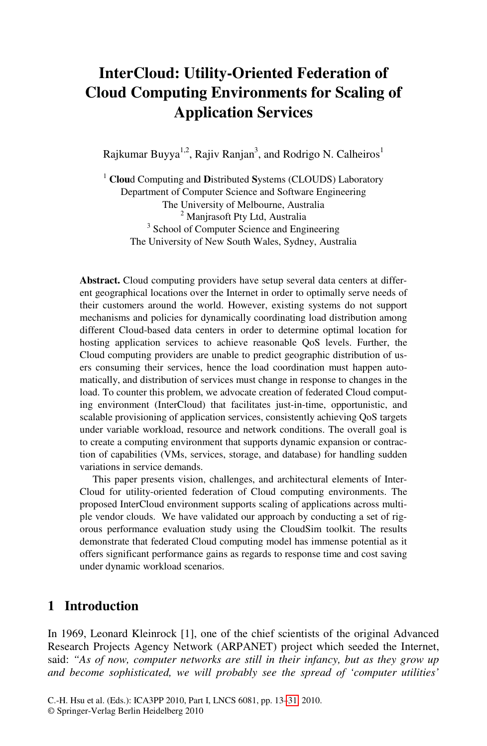# **InterCloud: Utility-Oriented Federation of Cloud Computing Environments for Scaling of Application Services**

Rajkumar Buyya<sup>1,2</sup>, Rajiv Ranjan<sup>3</sup>, and Rodrigo N. Calheiros<sup>1</sup>

<sup>1</sup> **Clou**d Computing and **D**istributed **S**ystems (CLOUDS) Laboratory Department of Computer Science and Software Engineering The University of Melbourne, Australia<sup>2</sup> Manjrasoft Pty Ltd, Australia <sup>2</sup> Manjrasoft Pty Ltd, Australia<sup>3</sup> School of Computer Science and Engineering The University of New South Wales, Sydney, Australia

**Abstract.** Cloud computing providers have setup several data centers at different geographical locations over the Internet in order to optimally serve needs of their customers around the world. However, existing systems do not support mechanisms and policies for dynamically coordinating load distribution among different Cloud-based data centers in order to determine optimal location for hosting application services to achieve reasonable QoS levels. Further, the Cloud computing providers are unable to predict geographic distribution of users consuming their services, hence the load coordination must happen automatically, and distribution of services must change in response to changes in the load. To counter this problem, we advocate creation of federated Cloud computing environment (InterCloud) that facilitates just-in-time, opportunistic, and scalable provisioning of application services, consistently achieving QoS targets under variable workload, resource and network conditions. The overall goal is to create a computing environment that supports dynamic expansion or contraction of capabilities (VMs, services, storage, and database) for handling sudden variations in service demands.

This paper presents vision, challenges, and architectural elements of Inter-Cloud for utility-oriented federation of Cloud computing environments. The proposed InterCloud environment supports scaling of applications across multiple vendor clouds. We have validated our approach by conducting a set of rigorous performance evaluation study using the CloudSim toolkit. The results demonstrate that federated Cloud computing model has immense potential as it offers significant performance gains as regards to response time and cost saving under dynamic workload scenarios.

# **1 Introduction**

In 1969, Leonard Kleinrock [1], one of the chief scientists of the original Advanced Research Projects Agency Network (ARPANET) project which seeded the Internet, said: *"As of now, computer networks are still in their infancy, but as they grow up and become sophisticated, we will probably see the spread of 'computer utilities'* 

C.-H. Hsu et al. (Eds.): ICA3PP 2010, Part I, LNCS 6081, pp. 13–31, 2010. © Springer-Verlag Berlin Heidelberg 2010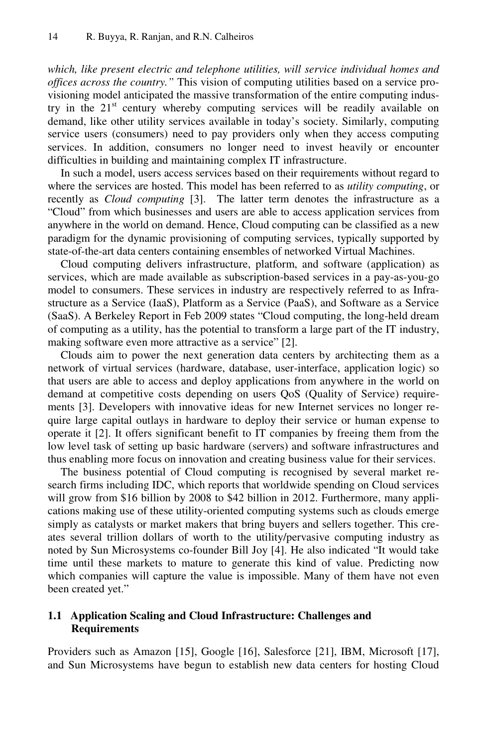*which, like present electric and telephone utilities, will service individual homes and offices across the country."* This vision of computing utilities based on a service provisioning model anticipated the massive transformation of the entire computing industry in the 21<sup>st</sup> century whereby computing services will be readily available on demand, like other utility services available in today's society. Similarly, computing service users (consumers) need to pay providers only when they access computing services. In addition, consumers no longer need to invest heavily or encounter difficulties in building and maintaining complex IT infrastructure.

In such a model, users access services based on their requirements without regard to where the services are hosted. This model has been referred to as *utility computing*, or recently as *Cloud computing* [3]. The latter term denotes the infrastructure as a "Cloud" from which businesses and users are able to access application services from anywhere in the world on demand. Hence, Cloud computing can be classified as a new paradigm for the dynamic provisioning of computing services, typically supported by state-of-the-art data centers containing ensembles of networked Virtual Machines.

Cloud computing delivers infrastructure, platform, and software (application) as services, which are made available as subscription-based services in a pay-as-you-go model to consumers. These services in industry are respectively referred to as Infrastructure as a Service (IaaS), Platform as a Service (PaaS), and Software as a Service (SaaS). A Berkeley Report in Feb 2009 states "Cloud computing, the long-held dream of computing as a utility, has the potential to transform a large part of the IT industry, making software even more attractive as a service" [2].

Clouds aim to power the next generation data centers by architecting them as a network of virtual services (hardware, database, user-interface, application logic) so that users are able to access and deploy applications from anywhere in the world on demand at competitive costs depending on users QoS (Quality of Service) requirements [3]. Developers with innovative ideas for new Internet services no longer require large capital outlays in hardware to deploy their service or human expense to operate it [2]. It offers significant benefit to IT companies by freeing them from the low level task of setting up basic hardware (servers) and software infrastructures and thus enabling more focus on innovation and creating business value for their services.

The business potential of Cloud computing is recognised by several market research firms including IDC, which reports that worldwide spending on Cloud services will grow from \$16 billion by 2008 to \$42 billion in 2012. Furthermore, many applications making use of these utility-oriented computing systems such as clouds emerge simply as catalysts or market makers that bring buyers and sellers together. This creates several trillion dollars of worth to the utility/pervasive computing industry as noted by Sun Microsystems co-founder Bill Joy [4]. He also indicated "It would take time until these markets to mature to generate this kind of value. Predicting now which companies will capture the value is impossible. Many of them have not even been created yet."

#### **1.1 Application Scaling and Cloud Infrastructure: Challenges and Requirements**

Providers such as Amazon [15], Google [16], Salesforce [21], IBM, Microsoft [17], and Sun Microsystems have begun to establish new data centers for hosting Cloud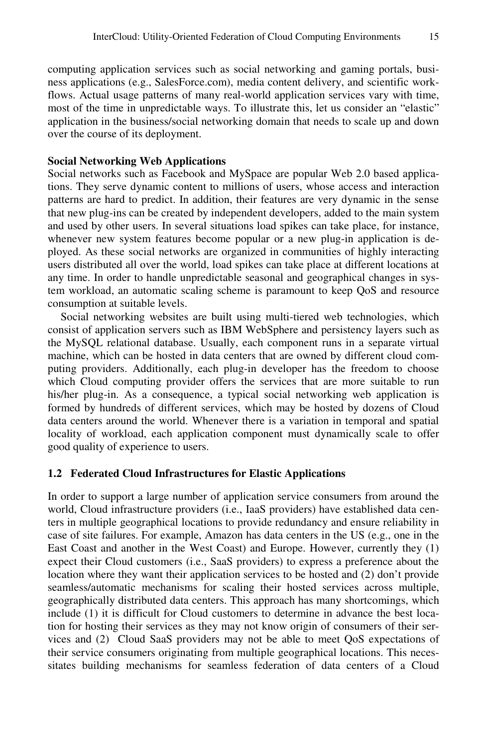computing application services such as social networking and gaming portals, business applications (e.g., SalesForce.com), media content delivery, and scientific workflows. Actual usage patterns of many real-world application services vary with time, most of the time in unpredictable ways. To illustrate this, let us consider an "elastic" application in the business/social networking domain that needs to scale up and down over the course of its deployment.

#### **Social Networking Web Applications**

Social networks such as Facebook and MySpace are popular Web 2.0 based applications. They serve dynamic content to millions of users, whose access and interaction patterns are hard to predict. In addition, their features are very dynamic in the sense that new plug-ins can be created by independent developers, added to the main system and used by other users. In several situations load spikes can take place, for instance, whenever new system features become popular or a new plug-in application is deployed. As these social networks are organized in communities of highly interacting users distributed all over the world, load spikes can take place at different locations at any time. In order to handle unpredictable seasonal and geographical changes in system workload, an automatic scaling scheme is paramount to keep QoS and resource consumption at suitable levels.

Social networking websites are built using multi-tiered web technologies, which consist of application servers such as IBM WebSphere and persistency layers such as the MySQL relational database. Usually, each component runs in a separate virtual machine, which can be hosted in data centers that are owned by different cloud computing providers. Additionally, each plug-in developer has the freedom to choose which Cloud computing provider offers the services that are more suitable to run his/her plug-in. As a consequence, a typical social networking web application is formed by hundreds of different services, which may be hosted by dozens of Cloud data centers around the world. Whenever there is a variation in temporal and spatial locality of workload, each application component must dynamically scale to offer good quality of experience to users.

#### **1.2 Federated Cloud Infrastructures for Elastic Applications**

In order to support a large number of application service consumers from around the world, Cloud infrastructure providers (i.e., IaaS providers) have established data centers in multiple geographical locations to provide redundancy and ensure reliability in case of site failures. For example, Amazon has data centers in the US (e.g., one in the East Coast and another in the West Coast) and Europe. However, currently they (1) expect their Cloud customers (i.e., SaaS providers) to express a preference about the location where they want their application services to be hosted and (2) don't provide seamless/automatic mechanisms for scaling their hosted services across multiple, geographically distributed data centers. This approach has many shortcomings, which include (1) it is difficult for Cloud customers to determine in advance the best location for hosting their services as they may not know origin of consumers of their services and (2) Cloud SaaS providers may not be able to meet QoS expectations of their service consumers originating from multiple geographical locations. This necessitates building mechanisms for seamless federation of data centers of a Cloud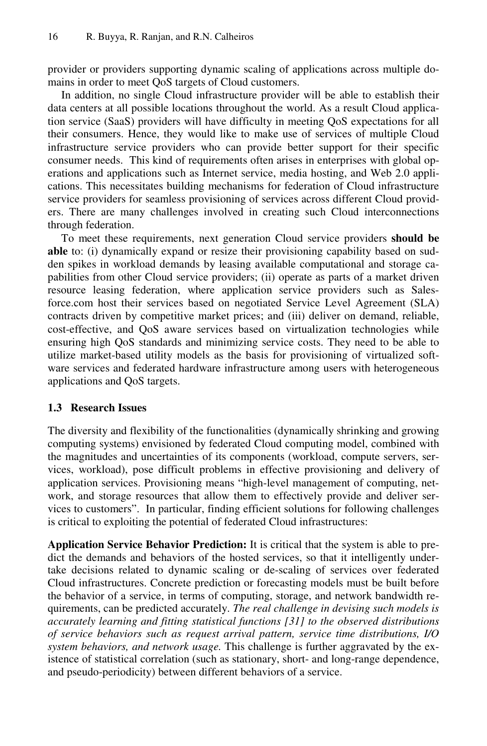provider or providers supporting dynamic scaling of applications across multiple domains in order to meet QoS targets of Cloud customers.

In addition, no single Cloud infrastructure provider will be able to establish their data centers at all possible locations throughout the world. As a result Cloud application service (SaaS) providers will have difficulty in meeting QoS expectations for all their consumers. Hence, they would like to make use of services of multiple Cloud infrastructure service providers who can provide better support for their specific consumer needs. This kind of requirements often arises in enterprises with global operations and applications such as Internet service, media hosting, and Web 2.0 applications. This necessitates building mechanisms for federation of Cloud infrastructure service providers for seamless provisioning of services across different Cloud providers. There are many challenges involved in creating such Cloud interconnections through federation.

To meet these requirements, next generation Cloud service providers **should be able** to: (i) dynamically expand or resize their provisioning capability based on sudden spikes in workload demands by leasing available computational and storage capabilities from other Cloud service providers; (ii) operate as parts of a market driven resource leasing federation, where application service providers such as Salesforce.com host their services based on negotiated Service Level Agreement (SLA) contracts driven by competitive market prices; and (iii) deliver on demand, reliable, cost-effective, and QoS aware services based on virtualization technologies while ensuring high QoS standards and minimizing service costs. They need to be able to utilize market-based utility models as the basis for provisioning of virtualized software services and federated hardware infrastructure among users with heterogeneous applications and QoS targets.

#### **1.3 Research Issues**

The diversity and flexibility of the functionalities (dynamically shrinking and growing computing systems) envisioned by federated Cloud computing model, combined with the magnitudes and uncertainties of its components (workload, compute servers, services, workload), pose difficult problems in effective provisioning and delivery of application services. Provisioning means "high-level management of computing, network, and storage resources that allow them to effectively provide and deliver services to customers". In particular, finding efficient solutions for following challenges is critical to exploiting the potential of federated Cloud infrastructures:

**Application Service Behavior Prediction:** It is critical that the system is able to predict the demands and behaviors of the hosted services, so that it intelligently undertake decisions related to dynamic scaling or de-scaling of services over federated Cloud infrastructures. Concrete prediction or forecasting models must be built before the behavior of a service, in terms of computing, storage, and network bandwidth requirements, can be predicted accurately. *The real challenge in devising such models is accurately learning and fitting statistical functions [31] to the observed distributions of service behaviors such as request arrival pattern, service time distributions, I/O system behaviors, and network usage.* This challenge is further aggravated by the existence of statistical correlation (such as stationary, short- and long-range dependence, and pseudo-periodicity) between different behaviors of a service.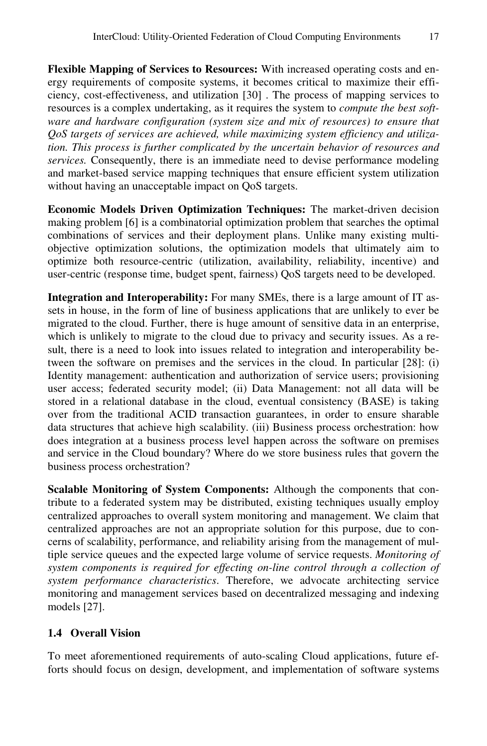**Flexible Mapping of Services to Resources:** With increased operating costs and energy requirements of composite systems, it becomes critical to maximize their efficiency, cost-effectiveness, and utilization [30] . The process of mapping services to resources is a complex undertaking, as it requires the system to *compute the best software and hardware configuration (system size and mix of resources) to ensure that QoS targets of services are achieved, while maximizing system efficiency and utilization. This process is further complicated by the uncertain behavior of resources and services.* Consequently, there is an immediate need to devise performance modeling and market-based service mapping techniques that ensure efficient system utilization without having an unacceptable impact on QoS targets.

**Economic Models Driven Optimization Techniques:** The market-driven decision making problem [6] is a combinatorial optimization problem that searches the optimal combinations of services and their deployment plans. Unlike many existing multiobjective optimization solutions, the optimization models that ultimately aim to optimize both resource-centric (utilization, availability, reliability, incentive) and user-centric (response time, budget spent, fairness) QoS targets need to be developed.

**Integration and Interoperability:** For many SMEs, there is a large amount of IT assets in house, in the form of line of business applications that are unlikely to ever be migrated to the cloud. Further, there is huge amount of sensitive data in an enterprise, which is unlikely to migrate to the cloud due to privacy and security issues. As a result, there is a need to look into issues related to integration and interoperability between the software on premises and the services in the cloud. In particular [28]: (i) Identity management: authentication and authorization of service users; provisioning user access; federated security model; (ii) Data Management: not all data will be stored in a relational database in the cloud, eventual consistency (BASE) is taking over from the traditional ACID transaction guarantees, in order to ensure sharable data structures that achieve high scalability. (iii) Business process orchestration: how does integration at a business process level happen across the software on premises and service in the Cloud boundary? Where do we store business rules that govern the business process orchestration?

**Scalable Monitoring of System Components:** Although the components that contribute to a federated system may be distributed, existing techniques usually employ centralized approaches to overall system monitoring and management. We claim that centralized approaches are not an appropriate solution for this purpose, due to concerns of scalability, performance, and reliability arising from the management of multiple service queues and the expected large volume of service requests. *Monitoring of system components is required for effecting on-line control through a collection of system performance characteristics*. Therefore, we advocate architecting service monitoring and management services based on decentralized messaging and indexing models [27].

### **1.4 Overall Vision**

To meet aforementioned requirements of auto-scaling Cloud applications, future efforts should focus on design, development, and implementation of software systems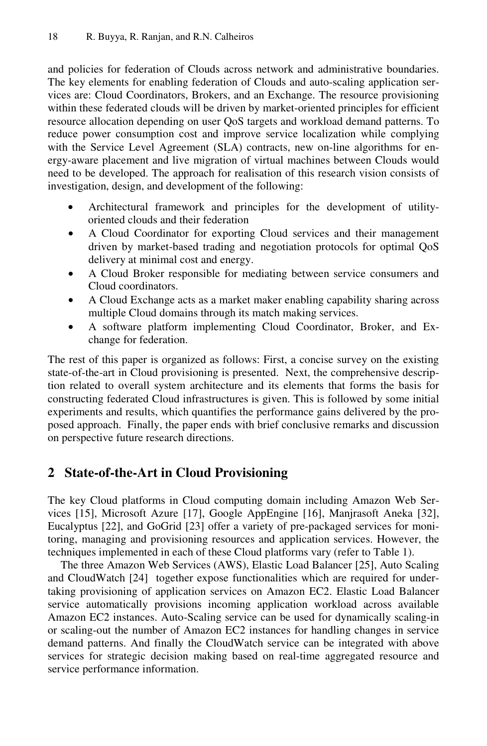and policies for federation of Clouds across network and administrative boundaries. The key elements for enabling federation of Clouds and auto-scaling application services are: Cloud Coordinators, Brokers, and an Exchange. The resource provisioning within these federated clouds will be driven by market-oriented principles for efficient resource allocation depending on user QoS targets and workload demand patterns. To reduce power consumption cost and improve service localization while complying with the Service Level Agreement (SLA) contracts, new on-line algorithms for energy-aware placement and live migration of virtual machines between Clouds would need to be developed. The approach for realisation of this research vision consists of investigation, design, and development of the following:

- Architectural framework and principles for the development of utilityoriented clouds and their federation
- A Cloud Coordinator for exporting Cloud services and their management driven by market-based trading and negotiation protocols for optimal QoS delivery at minimal cost and energy.
- A Cloud Broker responsible for mediating between service consumers and Cloud coordinators.
- A Cloud Exchange acts as a market maker enabling capability sharing across multiple Cloud domains through its match making services.
- A software platform implementing Cloud Coordinator, Broker, and Exchange for federation.

The rest of this paper is organized as follows: First, a concise survey on the existing state-of-the-art in Cloud provisioning is presented. Next, the comprehensive description related to overall system architecture and its elements that forms the basis for constructing federated Cloud infrastructures is given. This is followed by some initial experiments and results, which quantifies the performance gains delivered by the proposed approach. Finally, the paper ends with brief conclusive remarks and discussion on perspective future research directions.

# **2 State-of-the-Art in Cloud Provisioning**

The key Cloud platforms in Cloud computing domain including Amazon Web Services [15], Microsoft Azure [17], Google AppEngine [16], Manjrasoft Aneka [32], Eucalyptus [22], and GoGrid [23] offer a variety of pre-packaged services for monitoring, managing and provisioning resources and application services. However, the techniques implemented in each of these Cloud platforms vary (refer to Table 1).

The three Amazon Web Services (AWS), Elastic Load Balancer [25], Auto Scaling and CloudWatch [24] together expose functionalities which are required for undertaking provisioning of application services on Amazon EC2. Elastic Load Balancer service automatically provisions incoming application workload across available Amazon EC2 instances. Auto-Scaling service can be used for dynamically scaling-in or scaling-out the number of Amazon EC2 instances for handling changes in service demand patterns. And finally the CloudWatch service can be integrated with above services for strategic decision making based on real-time aggregated resource and service performance information.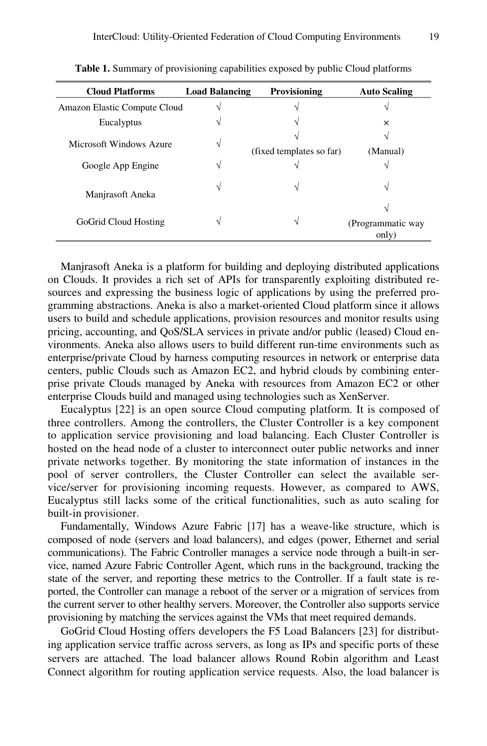| <b>Cloud Platforms</b>       | <b>Load Balancing</b> | <b>Provisioning</b>      | <b>Auto Scaling</b> |
|------------------------------|-----------------------|--------------------------|---------------------|
| Amazon Elastic Compute Cloud | V                     |                          |                     |
| Eucalyptus                   | ٦                     |                          | $\times$            |
| Microsoft Windows Azure      | V                     |                          |                     |
|                              |                       | (fixed templates so far) | (Manual)            |
| Google App Engine            | V                     |                          |                     |
| Manjrasoft Aneka             | N                     | ٦                        |                     |
|                              |                       |                          |                     |
| GoGrid Cloud Hosting         | V                     | N                        | (Programmatic way   |
|                              |                       |                          | only)               |

**Table 1.** Summary of provisioning capabilities exposed by public Cloud platforms

Manjrasoft Aneka is a platform for building and deploying distributed applications on Clouds. It provides a rich set of APIs for transparently exploiting distributed resources and expressing the business logic of applications by using the preferred programming abstractions. Aneka is also a market-oriented Cloud platform since it allows users to build and schedule applications, provision resources and monitor results using pricing, accounting, and QoS/SLA services in private and/or public (leased) Cloud environments. Aneka also allows users to build different run-time environments such as enterprise/private Cloud by harness computing resources in network or enterprise data centers, public Clouds such as Amazon EC2, and hybrid clouds by combining enterprise private Clouds managed by Aneka with resources from Amazon EC2 or other enterprise Clouds build and managed using technologies such as XenServer.

Eucalyptus [22] is an open source Cloud computing platform. It is composed of three controllers. Among the controllers, the Cluster Controller is a key component to application service provisioning and load balancing. Each Cluster Controller is hosted on the head node of a cluster to interconnect outer public networks and inner private networks together. By monitoring the state information of instances in the pool of server controllers, the Cluster Controller can select the available service/server for provisioning incoming requests. However, as compared to AWS, Eucalyptus still lacks some of the critical functionalities, such as auto scaling for built-in provisioner.

Fundamentally, Windows Azure Fabric [17] has a weave-like structure, which is composed of node (servers and load balancers), and edges (power, Ethernet and serial communications). The Fabric Controller manages a service node through a built-in service, named Azure Fabric Controller Agent, which runs in the background, tracking the state of the server, and reporting these metrics to the Controller. If a fault state is reported, the Controller can manage a reboot of the server or a migration of services from the current server to other healthy servers. Moreover, the Controller also supports service provisioning by matching the services against the VMs that meet required demands.

GoGrid Cloud Hosting offers developers the F5 Load Balancers [23] for distributing application service traffic across servers, as long as IPs and specific ports of these servers are attached. The load balancer allows Round Robin algorithm and Least Connect algorithm for routing application service requests. Also, the load balancer is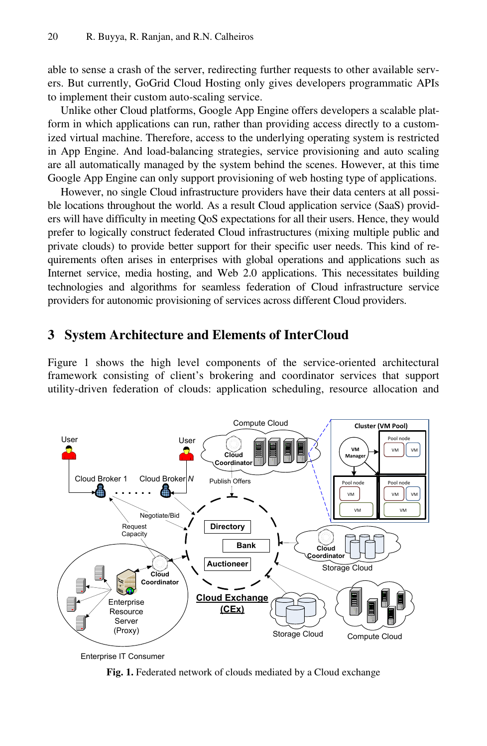able to sense a crash of the server, redirecting further requests to other available servers. But currently, GoGrid Cloud Hosting only gives developers programmatic APIs to implement their custom auto-scaling service.

Unlike other Cloud platforms, Google App Engine offers developers a scalable platform in which applications can run, rather than providing access directly to a customized virtual machine. Therefore, access to the underlying operating system is restricted in App Engine. And load-balancing strategies, service provisioning and auto scaling are all automatically managed by the system behind the scenes. However, at this time Google App Engine can only support provisioning of web hosting type of applications.

However, no single Cloud infrastructure providers have their data centers at all possible locations throughout the world. As a result Cloud application service (SaaS) providers will have difficulty in meeting QoS expectations for all their users. Hence, they would prefer to logically construct federated Cloud infrastructures (mixing multiple public and private clouds) to provide better support for their specific user needs. This kind of requirements often arises in enterprises with global operations and applications such as Internet service, media hosting, and Web 2.0 applications. This necessitates building technologies and algorithms for seamless federation of Cloud infrastructure service providers for autonomic provisioning of services across different Cloud providers.

## **3 System Architecture and Elements of InterCloud**

Figure 1 shows the high level components of the service-oriented architectural framework consisting of client's brokering and coordinator services that support utility-driven federation of clouds: application scheduling, resource allocation and



Enterprise IT Consumer

**Fig. 1.** Federated network of clouds mediated by a Cloud exchange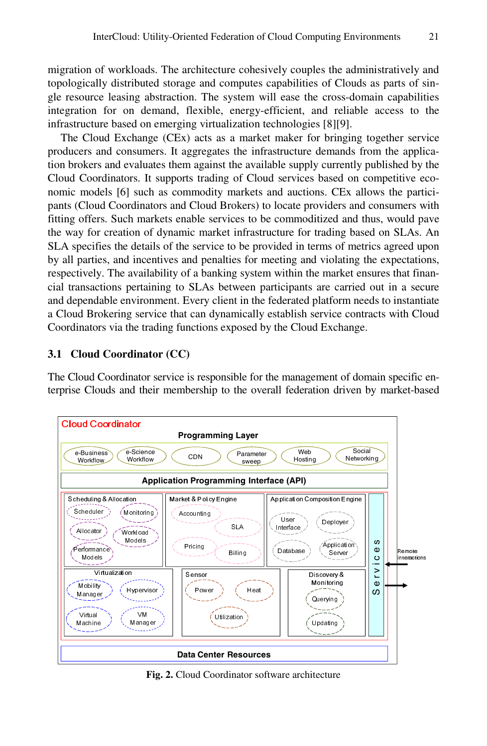migration of workloads. The architecture cohesively couples the administratively and topologically distributed storage and computes capabilities of Clouds as parts of single resource leasing abstraction. The system will ease the cross-domain capabilities integration for on demand, flexible, energy-efficient, and reliable access to the infrastructure based on emerging virtualization technologies [8][9].

The Cloud Exchange (CEx) acts as a market maker for bringing together service producers and consumers. It aggregates the infrastructure demands from the application brokers and evaluates them against the available supply currently published by the Cloud Coordinators. It supports trading of Cloud services based on competitive economic models [6] such as commodity markets and auctions. CEx allows the participants (Cloud Coordinators and Cloud Brokers) to locate providers and consumers with fitting offers. Such markets enable services to be commoditized and thus, would pave the way for creation of dynamic market infrastructure for trading based on SLAs. An SLA specifies the details of the service to be provided in terms of metrics agreed upon by all parties, and incentives and penalties for meeting and violating the expectations, respectively. The availability of a banking system within the market ensures that financial transactions pertaining to SLAs between participants are carried out in a secure and dependable environment. Every client in the federated platform needs to instantiate a Cloud Brokering service that can dynamically establish service contracts with Cloud Coordinators via the trading functions exposed by the Cloud Exchange.

#### **3.1 Cloud Coordinator (CC)**

The Cloud Coordinator service is responsible for the management of domain specific enterprise Clouds and their membership to the overall federation driven by market-based



**Fig. 2.** Cloud Coordinator software architecture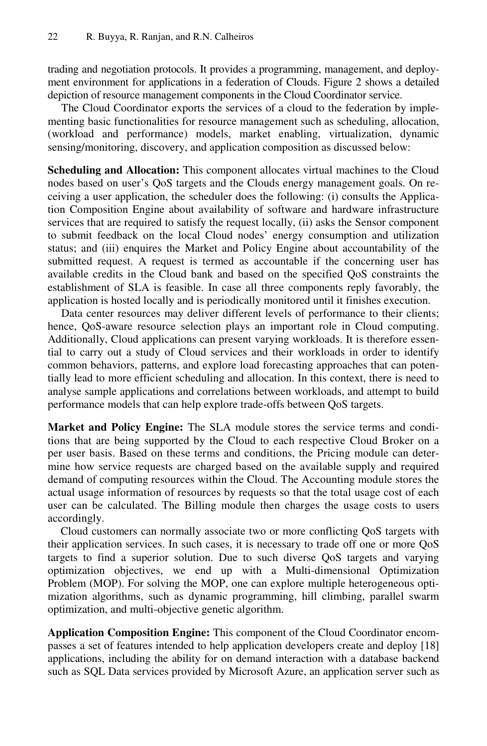trading and negotiation protocols. It provides a programming, management, and deployment environment for applications in a federation of Clouds. Figure 2 shows a detailed depiction of resource management components in the Cloud Coordinator service.

The Cloud Coordinator exports the services of a cloud to the federation by implementing basic functionalities for resource management such as scheduling, allocation, (workload and performance) models, market enabling, virtualization, dynamic sensing/monitoring, discovery, and application composition as discussed below:

**Scheduling and Allocation:** This component allocates virtual machines to the Cloud nodes based on user's QoS targets and the Clouds energy management goals. On receiving a user application, the scheduler does the following: (i) consults the Application Composition Engine about availability of software and hardware infrastructure services that are required to satisfy the request locally, (ii) asks the Sensor component to submit feedback on the local Cloud nodes' energy consumption and utilization status; and (iii) enquires the Market and Policy Engine about accountability of the submitted request. A request is termed as accountable if the concerning user has available credits in the Cloud bank and based on the specified QoS constraints the establishment of SLA is feasible. In case all three components reply favorably, the application is hosted locally and is periodically monitored until it finishes execution.

Data center resources may deliver different levels of performance to their clients; hence, QoS-aware resource selection plays an important role in Cloud computing. Additionally, Cloud applications can present varying workloads. It is therefore essential to carry out a study of Cloud services and their workloads in order to identify common behaviors, patterns, and explore load forecasting approaches that can potentially lead to more efficient scheduling and allocation. In this context, there is need to analyse sample applications and correlations between workloads, and attempt to build performance models that can help explore trade-offs between QoS targets.

**Market and Policy Engine:** The SLA module stores the service terms and conditions that are being supported by the Cloud to each respective Cloud Broker on a per user basis. Based on these terms and conditions, the Pricing module can determine how service requests are charged based on the available supply and required demand of computing resources within the Cloud. The Accounting module stores the actual usage information of resources by requests so that the total usage cost of each user can be calculated. The Billing module then charges the usage costs to users accordingly.

Cloud customers can normally associate two or more conflicting QoS targets with their application services. In such cases, it is necessary to trade off one or more QoS targets to find a superior solution. Due to such diverse QoS targets and varying optimization objectives, we end up with a Multi-dimensional Optimization Problem (MOP). For solving the MOP, one can explore multiple heterogeneous optimization algorithms, such as dynamic programming, hill climbing, parallel swarm optimization, and multi-objective genetic algorithm.

**Application Composition Engine:** This component of the Cloud Coordinator encompasses a set of features intended to help application developers create and deploy [18] applications, including the ability for on demand interaction with a database backend such as SQL Data services provided by Microsoft Azure, an application server such as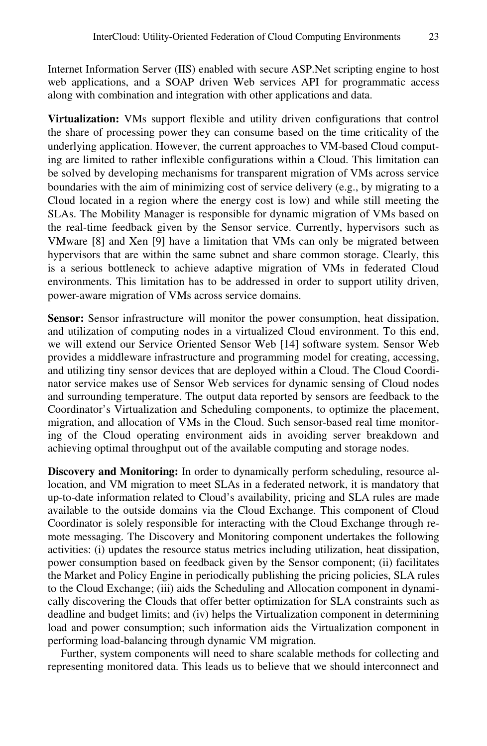Internet Information Server (IIS) enabled with secure ASP.Net scripting engine to host web applications, and a SOAP driven Web services API for programmatic access along with combination and integration with other applications and data.

**Virtualization:** VMs support flexible and utility driven configurations that control the share of processing power they can consume based on the time criticality of the underlying application. However, the current approaches to VM-based Cloud computing are limited to rather inflexible configurations within a Cloud. This limitation can be solved by developing mechanisms for transparent migration of VMs across service boundaries with the aim of minimizing cost of service delivery (e.g., by migrating to a Cloud located in a region where the energy cost is low) and while still meeting the SLAs. The Mobility Manager is responsible for dynamic migration of VMs based on the real-time feedback given by the Sensor service. Currently, hypervisors such as VMware [8] and Xen [9] have a limitation that VMs can only be migrated between hypervisors that are within the same subnet and share common storage. Clearly, this is a serious bottleneck to achieve adaptive migration of VMs in federated Cloud environments. This limitation has to be addressed in order to support utility driven, power-aware migration of VMs across service domains.

**Sensor:** Sensor infrastructure will monitor the power consumption, heat dissipation, and utilization of computing nodes in a virtualized Cloud environment. To this end, we will extend our Service Oriented Sensor Web [14] software system. Sensor Web provides a middleware infrastructure and programming model for creating, accessing, and utilizing tiny sensor devices that are deployed within a Cloud. The Cloud Coordinator service makes use of Sensor Web services for dynamic sensing of Cloud nodes and surrounding temperature. The output data reported by sensors are feedback to the Coordinator's Virtualization and Scheduling components, to optimize the placement, migration, and allocation of VMs in the Cloud. Such sensor-based real time monitoring of the Cloud operating environment aids in avoiding server breakdown and achieving optimal throughput out of the available computing and storage nodes.

**Discovery and Monitoring:** In order to dynamically perform scheduling, resource allocation, and VM migration to meet SLAs in a federated network, it is mandatory that up-to-date information related to Cloud's availability, pricing and SLA rules are made available to the outside domains via the Cloud Exchange. This component of Cloud Coordinator is solely responsible for interacting with the Cloud Exchange through remote messaging. The Discovery and Monitoring component undertakes the following activities: (i) updates the resource status metrics including utilization, heat dissipation, power consumption based on feedback given by the Sensor component; (ii) facilitates the Market and Policy Engine in periodically publishing the pricing policies, SLA rules to the Cloud Exchange; (iii) aids the Scheduling and Allocation component in dynamically discovering the Clouds that offer better optimization for SLA constraints such as deadline and budget limits; and (iv) helps the Virtualization component in determining load and power consumption; such information aids the Virtualization component in performing load-balancing through dynamic VM migration.

Further, system components will need to share scalable methods for collecting and representing monitored data. This leads us to believe that we should interconnect and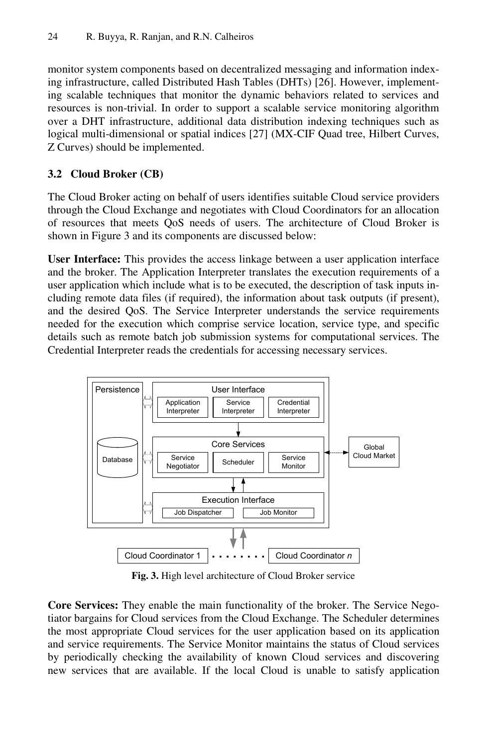monitor system components based on decentralized messaging and information indexing infrastructure, called Distributed Hash Tables (DHTs) [26]. However, implementing scalable techniques that monitor the dynamic behaviors related to services and resources is non-trivial. In order to support a scalable service monitoring algorithm over a DHT infrastructure, additional data distribution indexing techniques such as logical multi-dimensional or spatial indices [27] (MX-CIF Quad tree, Hilbert Curves, Z Curves) should be implemented.

# **3.2 Cloud Broker (CB)**

The Cloud Broker acting on behalf of users identifies suitable Cloud service providers through the Cloud Exchange and negotiates with Cloud Coordinators for an allocation of resources that meets QoS needs of users. The architecture of Cloud Broker is shown in Figure 3 and its components are discussed below:

**User Interface:** This provides the access linkage between a user application interface and the broker. The Application Interpreter translates the execution requirements of a user application which include what is to be executed, the description of task inputs including remote data files (if required), the information about task outputs (if present), and the desired QoS. The Service Interpreter understands the service requirements needed for the execution which comprise service location, service type, and specific details such as remote batch job submission systems for computational services. The Credential Interpreter reads the credentials for accessing necessary services.



**Fig. 3.** High level architecture of Cloud Broker service

**Core Services:** They enable the main functionality of the broker. The Service Negotiator bargains for Cloud services from the Cloud Exchange. The Scheduler determines the most appropriate Cloud services for the user application based on its application and service requirements. The Service Monitor maintains the status of Cloud services by periodically checking the availability of known Cloud services and discovering new services that are available. If the local Cloud is unable to satisfy application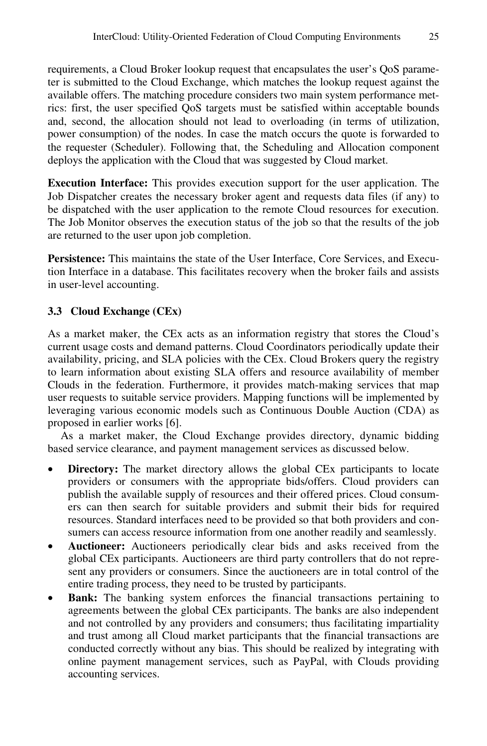requirements, a Cloud Broker lookup request that encapsulates the user's QoS parameter is submitted to the Cloud Exchange, which matches the lookup request against the available offers. The matching procedure considers two main system performance metrics: first, the user specified QoS targets must be satisfied within acceptable bounds and, second, the allocation should not lead to overloading (in terms of utilization, power consumption) of the nodes. In case the match occurs the quote is forwarded to the requester (Scheduler). Following that, the Scheduling and Allocation component deploys the application with the Cloud that was suggested by Cloud market.

**Execution Interface:** This provides execution support for the user application. The Job Dispatcher creates the necessary broker agent and requests data files (if any) to be dispatched with the user application to the remote Cloud resources for execution. The Job Monitor observes the execution status of the job so that the results of the job are returned to the user upon job completion.

**Persistence:** This maintains the state of the User Interface, Core Services, and Execution Interface in a database. This facilitates recovery when the broker fails and assists in user-level accounting.

### **3.3 Cloud Exchange (CEx)**

As a market maker, the CEx acts as an information registry that stores the Cloud's current usage costs and demand patterns. Cloud Coordinators periodically update their availability, pricing, and SLA policies with the CEx. Cloud Brokers query the registry to learn information about existing SLA offers and resource availability of member Clouds in the federation. Furthermore, it provides match-making services that map user requests to suitable service providers. Mapping functions will be implemented by leveraging various economic models such as Continuous Double Auction (CDA) as proposed in earlier works [6].

As a market maker, the Cloud Exchange provides directory, dynamic bidding based service clearance, and payment management services as discussed below.

- **Directory:** The market directory allows the global CE<sub>x</sub> participants to locate providers or consumers with the appropriate bids/offers. Cloud providers can publish the available supply of resources and their offered prices. Cloud consumers can then search for suitable providers and submit their bids for required resources. Standard interfaces need to be provided so that both providers and consumers can access resource information from one another readily and seamlessly.
- **Auctioneer:** Auctioneers periodically clear bids and asks received from the global CEx participants. Auctioneers are third party controllers that do not represent any providers or consumers. Since the auctioneers are in total control of the entire trading process, they need to be trusted by participants.
- **Bank:** The banking system enforces the financial transactions pertaining to agreements between the global CEx participants. The banks are also independent and not controlled by any providers and consumers; thus facilitating impartiality and trust among all Cloud market participants that the financial transactions are conducted correctly without any bias. This should be realized by integrating with online payment management services, such as PayPal, with Clouds providing accounting services.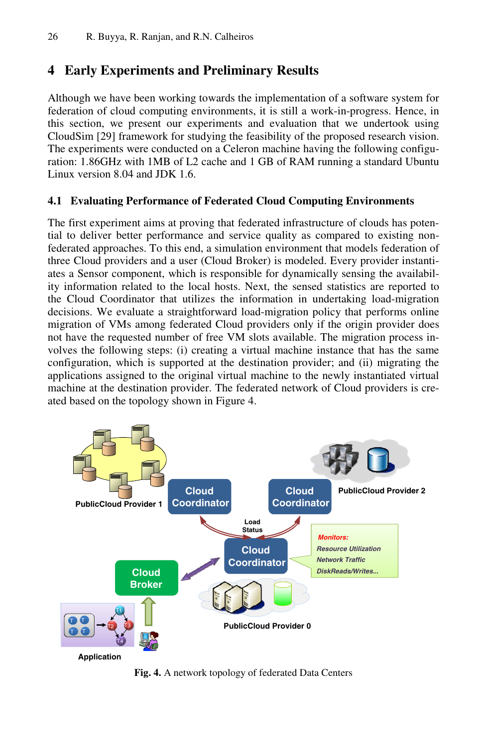# **4 Early Experiments and Preliminary Results**

Although we have been working towards the implementation of a software system for federation of cloud computing environments, it is still a work-in-progress. Hence, in this section, we present our experiments and evaluation that we undertook using CloudSim [29] framework for studying the feasibility of the proposed research vision. The experiments were conducted on a Celeron machine having the following configuration: 1.86GHz with 1MB of L2 cache and 1 GB of RAM running a standard Ubuntu Linux version 8.04 and JDK 1.6.

### **4.1 Evaluating Performance of Federated Cloud Computing Environments**

The first experiment aims at proving that federated infrastructure of clouds has potential to deliver better performance and service quality as compared to existing nonfederated approaches. To this end, a simulation environment that models federation of three Cloud providers and a user (Cloud Broker) is modeled. Every provider instantiates a Sensor component, which is responsible for dynamically sensing the availability information related to the local hosts. Next, the sensed statistics are reported to the Cloud Coordinator that utilizes the information in undertaking load-migration decisions. We evaluate a straightforward load-migration policy that performs online migration of VMs among federated Cloud providers only if the origin provider does not have the requested number of free VM slots available. The migration process involves the following steps: (i) creating a virtual machine instance that has the same configuration, which is supported at the destination provider; and (ii) migrating the applications assigned to the original virtual machine to the newly instantiated virtual machine at the destination provider. The federated network of Cloud providers is created based on the topology shown in Figure 4.



**Fig. 4.** A network topology of federated Data Centers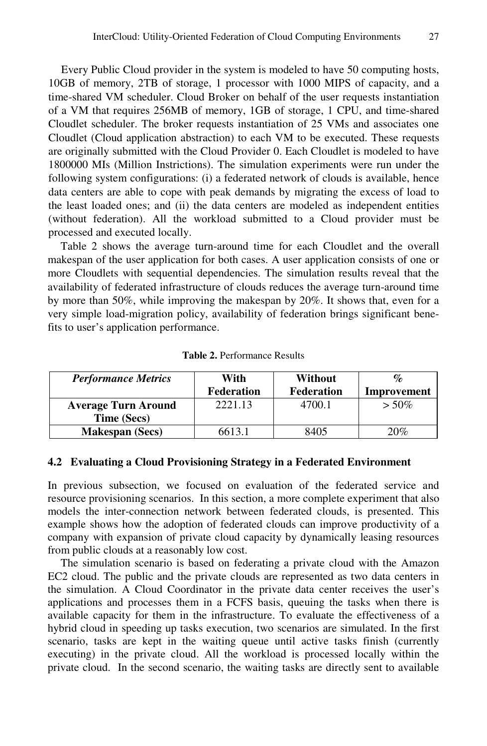Every Public Cloud provider in the system is modeled to have 50 computing hosts, 10GB of memory, 2TB of storage, 1 processor with 1000 MIPS of capacity, and a time-shared VM scheduler. Cloud Broker on behalf of the user requests instantiation of a VM that requires 256MB of memory, 1GB of storage, 1 CPU, and time-shared Cloudlet scheduler. The broker requests instantiation of 25 VMs and associates one Cloudlet (Cloud application abstraction) to each VM to be executed. These requests are originally submitted with the Cloud Provider 0. Each Cloudlet is modeled to have 1800000 MIs (Million Instrictions). The simulation experiments were run under the following system configurations: (i) a federated network of clouds is available, hence data centers are able to cope with peak demands by migrating the excess of load to the least loaded ones; and (ii) the data centers are modeled as independent entities (without federation). All the workload submitted to a Cloud provider must be processed and executed locally.

Table 2 shows the average turn-around time for each Cloudlet and the overall makespan of the user application for both cases. A user application consists of one or more Cloudlets with sequential dependencies. The simulation results reveal that the availability of federated infrastructure of clouds reduces the average turn-around time by more than 50%, while improving the makespan by 20%. It shows that, even for a very simple load-migration policy, availability of federation brings significant benefits to user's application performance.

| <b>Performance Metrics</b> | With       | Without           | $\mathcal{G}_{\mathcal{O}}$ |
|----------------------------|------------|-------------------|-----------------------------|
|                            | Federation | <b>Federation</b> | Improvement                 |
| <b>Average Turn Around</b> | 2221.13    | 4700.1            | $> 50\%$                    |
| Time (Secs)                |            |                   |                             |
| <b>Makespan (Secs)</b>     | 6613.1     | 8405              | 20%                         |

**Table 2.** Performance Results

#### **4.2 Evaluating a Cloud Provisioning Strategy in a Federated Environment**

In previous subsection, we focused on evaluation of the federated service and resource provisioning scenarios. In this section, a more complete experiment that also models the inter-connection network between federated clouds, is presented. This example shows how the adoption of federated clouds can improve productivity of a company with expansion of private cloud capacity by dynamically leasing resources from public clouds at a reasonably low cost.

The simulation scenario is based on federating a private cloud with the Amazon EC2 cloud. The public and the private clouds are represented as two data centers in the simulation. A Cloud Coordinator in the private data center receives the user's applications and processes them in a FCFS basis, queuing the tasks when there is available capacity for them in the infrastructure. To evaluate the effectiveness of a hybrid cloud in speeding up tasks execution, two scenarios are simulated. In the first scenario, tasks are kept in the waiting queue until active tasks finish (currently executing) in the private cloud. All the workload is processed locally within the private cloud. In the second scenario, the waiting tasks are directly sent to available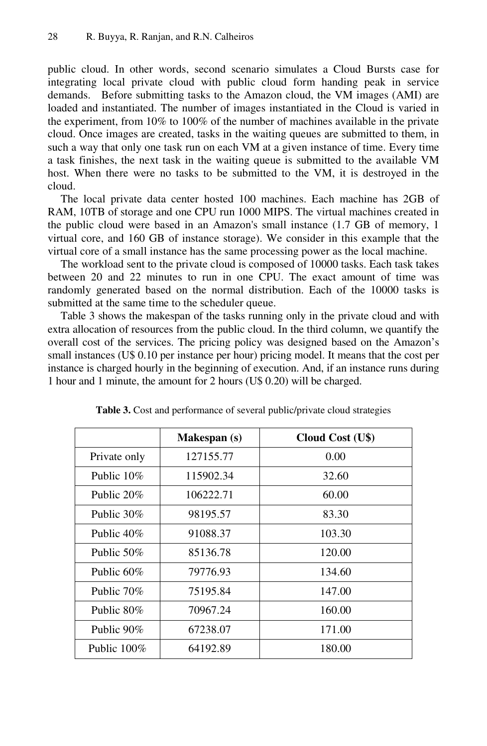public cloud. In other words, second scenario simulates a Cloud Bursts case for integrating local private cloud with public cloud form handing peak in service demands. Before submitting tasks to the Amazon cloud, the VM images (AMI) are loaded and instantiated. The number of images instantiated in the Cloud is varied in the experiment, from 10% to 100% of the number of machines available in the private cloud. Once images are created, tasks in the waiting queues are submitted to them, in such a way that only one task run on each VM at a given instance of time. Every time a task finishes, the next task in the waiting queue is submitted to the available VM host. When there were no tasks to be submitted to the VM, it is destroyed in the cloud.

The local private data center hosted 100 machines. Each machine has 2GB of RAM, 10TB of storage and one CPU run 1000 MIPS. The virtual machines created in the public cloud were based in an Amazon's small instance (1.7 GB of memory, 1 virtual core, and 160 GB of instance storage). We consider in this example that the virtual core of a small instance has the same processing power as the local machine.

The workload sent to the private cloud is composed of 10000 tasks. Each task takes between 20 and 22 minutes to run in one CPU. The exact amount of time was randomly generated based on the normal distribution. Each of the 10000 tasks is submitted at the same time to the scheduler queue.

Table 3 shows the makespan of the tasks running only in the private cloud and with extra allocation of resources from the public cloud. In the third column, we quantify the overall cost of the services. The pricing policy was designed based on the Amazon's small instances (U\$ 0.10 per instance per hour) pricing model. It means that the cost per instance is charged hourly in the beginning of execution. And, if an instance runs during 1 hour and 1 minute, the amount for 2 hours (U\$ 0.20) will be charged.

|                | Makespan (s) | Cloud Cost (U\$) |
|----------------|--------------|------------------|
| Private only   | 127155.77    | 0.00             |
| Public 10\%    | 115902.34    | 32.60            |
| Public 20%     | 106222.71    | 60.00            |
| Public 30%     | 98195.57     | 83.30            |
| Public 40\%    | 91088.37     | 103.30           |
| Public 50%     | 85136.78     | 120.00           |
| Public 60\%    | 79776.93     | 134.60           |
| Public 70\%    | 75195.84     | 147.00           |
| Public 80\%    | 70967.24     | 160.00           |
| Public 90%     | 67238.07     | 171.00           |
| Public $100\%$ | 64192.89     | 180.00           |

**Table 3.** Cost and performance of several public/private cloud strategies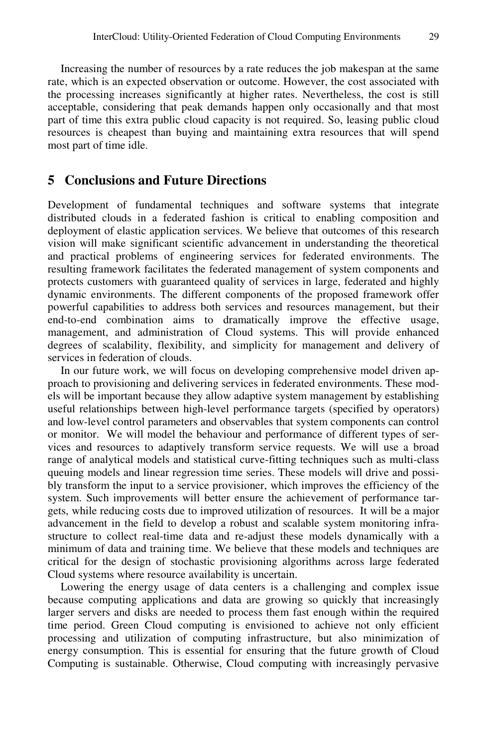Increasing the number of resources by a rate reduces the job makespan at the same rate, which is an expected observation or outcome. However, the cost associated with the processing increases significantly at higher rates. Nevertheless, the cost is still acceptable, considering that peak demands happen only occasionally and that most part of time this extra public cloud capacity is not required. So, leasing public cloud resources is cheapest than buying and maintaining extra resources that will spend most part of time idle.

### **5 Conclusions and Future Directions**

Development of fundamental techniques and software systems that integrate distributed clouds in a federated fashion is critical to enabling composition and deployment of elastic application services. We believe that outcomes of this research vision will make significant scientific advancement in understanding the theoretical and practical problems of engineering services for federated environments. The resulting framework facilitates the federated management of system components and protects customers with guaranteed quality of services in large, federated and highly dynamic environments. The different components of the proposed framework offer powerful capabilities to address both services and resources management, but their end-to-end combination aims to dramatically improve the effective usage, management, and administration of Cloud systems. This will provide enhanced degrees of scalability, flexibility, and simplicity for management and delivery of services in federation of clouds.

In our future work, we will focus on developing comprehensive model driven approach to provisioning and delivering services in federated environments. These models will be important because they allow adaptive system management by establishing useful relationships between high-level performance targets (specified by operators) and low-level control parameters and observables that system components can control or monitor. We will model the behaviour and performance of different types of services and resources to adaptively transform service requests. We will use a broad range of analytical models and statistical curve-fitting techniques such as multi-class queuing models and linear regression time series. These models will drive and possibly transform the input to a service provisioner, which improves the efficiency of the system. Such improvements will better ensure the achievement of performance targets, while reducing costs due to improved utilization of resources. It will be a major advancement in the field to develop a robust and scalable system monitoring infrastructure to collect real-time data and re-adjust these models dynamically with a minimum of data and training time. We believe that these models and techniques are critical for the design of stochastic provisioning algorithms across large federated Cloud systems where resource availability is uncertain.

Lowering the energy usage of data centers is a challenging and complex issue because computing applications and data are growing so quickly that increasingly larger servers and disks are needed to process them fast enough within the required time period. Green Cloud computing is envisioned to achieve not only efficient processing and utilization of computing infrastructure, but also minimization of energy consumption. This is essential for ensuring that the future growth of Cloud Computing is sustainable. Otherwise, Cloud computing with increasingly pervasive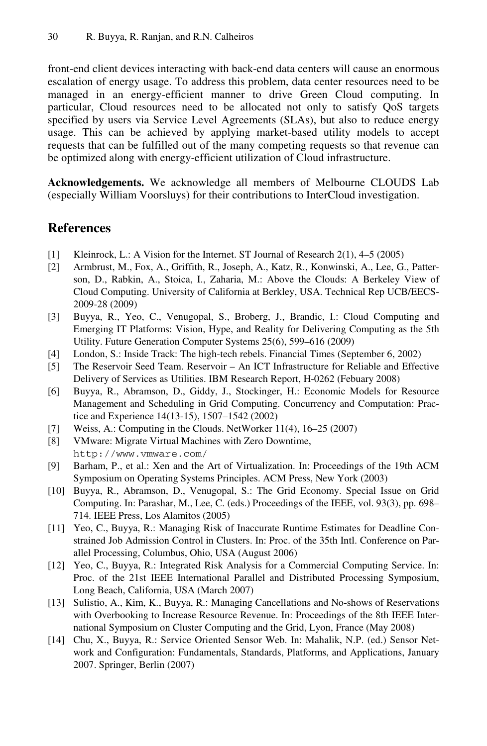front-end client devices interacting with back-end data centers will cause an enormous escalation of energy usage. To address this problem, data center resources need to be managed in an energy-efficient manner to drive Green Cloud computing. In particular, Cloud resources need to be allocated not only to satisfy QoS targets specified by users via Service Level Agreements (SLAs), but also to reduce energy usage. This can be achieved by applying market-based utility models to accept requests that can be fulfilled out of the many competing requests so that revenue can be optimized along with energy-efficient utilization of Cloud infrastructure.

**Acknowledgements.** We acknowledge all members of Melbourne CLOUDS Lab (especially William Voorsluys) for their contributions to InterCloud investigation.

# **References**

- [1] Kleinrock, L.: A Vision for the Internet. ST Journal of Research 2(1), 4–5 (2005)
- [2] Armbrust, M., Fox, A., Griffith, R., Joseph, A., Katz, R., Konwinski, A., Lee, G., Patterson, D., Rabkin, A., Stoica, I., Zaharia, M.: Above the Clouds: A Berkeley View of Cloud Computing. University of California at Berkley, USA. Technical Rep UCB/EECS-2009-28 (2009)
- [3] Buyya, R., Yeo, C., Venugopal, S., Broberg, J., Brandic, I.: Cloud Computing and Emerging IT Platforms: Vision, Hype, and Reality for Delivering Computing as the 5th Utility. Future Generation Computer Systems 25(6), 599–616 (2009)
- [4] London, S.: Inside Track: The high-tech rebels. Financial Times (September 6, 2002)
- [5] The Reservoir Seed Team. Reservoir An ICT Infrastructure for Reliable and Effective Delivery of Services as Utilities. IBM Research Report, H-0262 (Febuary 2008)
- [6] Buyya, R., Abramson, D., Giddy, J., Stockinger, H.: Economic Models for Resource Management and Scheduling in Grid Computing. Concurrency and Computation: Practice and Experience 14(13-15), 1507–1542 (2002)
- [7] Weiss, A.: Computing in the Clouds. NetWorker 11(4), 16–25 (2007)
- [8] VMware: Migrate Virtual Machines with Zero Downtime, http://www.vmware.com/
- [9] Barham, P., et al.: Xen and the Art of Virtualization. In: Proceedings of the 19th ACM Symposium on Operating Systems Principles. ACM Press, New York (2003)
- [10] Buyya, R., Abramson, D., Venugopal, S.: The Grid Economy. Special Issue on Grid Computing. In: Parashar, M., Lee, C. (eds.) Proceedings of the IEEE, vol. 93(3), pp. 698– 714. IEEE Press, Los Alamitos (2005)
- [11] Yeo, C., Buyya, R.: Managing Risk of Inaccurate Runtime Estimates for Deadline Constrained Job Admission Control in Clusters. In: Proc. of the 35th Intl. Conference on Parallel Processing, Columbus, Ohio, USA (August 2006)
- [12] Yeo, C., Buyya, R.: Integrated Risk Analysis for a Commercial Computing Service. In: Proc. of the 21st IEEE International Parallel and Distributed Processing Symposium, Long Beach, California, USA (March 2007)
- [13] Sulistio, A., Kim, K., Buyya, R.: Managing Cancellations and No-shows of Reservations with Overbooking to Increase Resource Revenue. In: Proceedings of the 8th IEEE International Symposium on Cluster Computing and the Grid, Lyon, France (May 2008)
- [14] Chu, X., Buyya, R.: Service Oriented Sensor Web. In: Mahalik, N.P. (ed.) Sensor Network and Configuration: Fundamentals, Standards, Platforms, and Applications, January 2007. Springer, Berlin (2007)